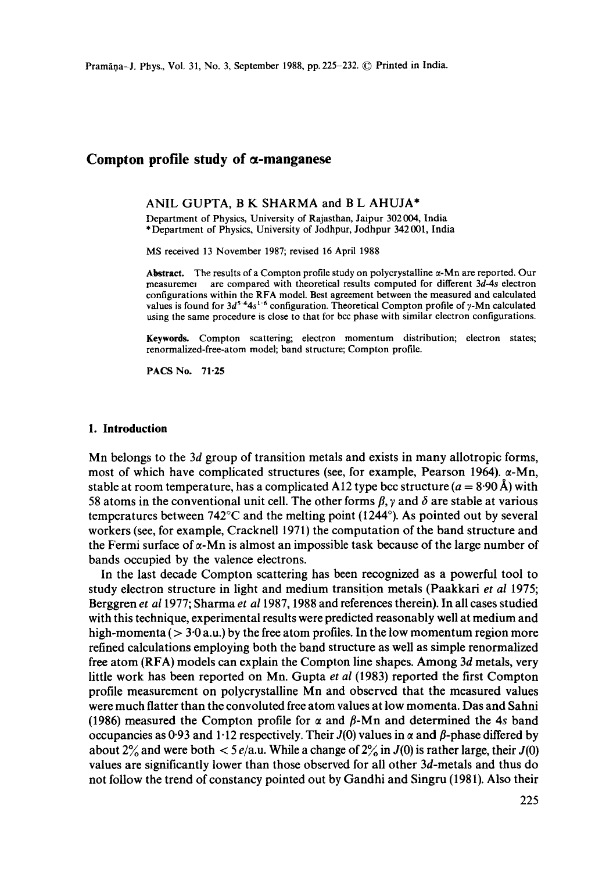# **Compton profile study of a-manganese**

#### ANIL GUPTA, B K SHARMA and B L AHUJA\*

Department of Physics, University of Rajasthan, Jaipur 302004, India \* Department of Physics, University of Jodhpur, Jodhpur 342 001, India

MS received 13 November 1987; revised 16 April 1988

Abstract. The results of a Compton profile study on polycrystalline  $\alpha$ -Mn are reported. Our measureme, are compared with theoretical results computed for different *3d-4s* electron configurations within the RFA model. Best agreement between the measured and calculated values is found for  $3d^{5.4}4s^{1.6}$  configuration. Theoretical Compton profile of y-Mn calculated using the same procedure is close to that for bcc phase with similar electron configurations.

**Keywords.** Compton scattering; electron momentum distribution; electron states; renormalized-free-atom model; band structure; Compton profile.

PACS No. **71.25** 

#### **1. Introduction**

Mn belongs to the 3d group of transition metals and exists in many allotropic forms, most of which have complicated structures (see, for example, Pearson 1964).  $\alpha$ -Mn, stable at room temperature, has a complicated A12 type bcc structure  $(a = 8.90 \text{ Å})$  with 58 atoms in the conventional unit cell. The other forms  $\beta$ , y and  $\delta$  are stable at various temperatures between 742°C and the melting point (1244°). As pointed out by several workers (see, for example, Cracknell 1971) the computation of the band structure and the Fermi surface of  $\alpha$ -Mn is almost an impossible task because of the large number of bands occupied by the valence electrons.

In the last decade Compton scattering has been recognized as a powerful tool to study electron structure in light and medium transition metals (Paakkari *et al* 1975; Berggren *et a11977;* Sharma *et a11987,* 1988 and references therein). In all cases studied with this technique, experimental results were predicted reasonably well at medium and high-momenta ( $> 3.0$  a.u.) by the free atom profiles. In the low momentum region more refined calculations employing both the band structure as well as simple renormalized free atom (RFA) models can explain the Compton line shapes. Among 3d metals, very little work has been reported on Mn. Gupta *et al* (1983) reported the first Compton profile measurement on polycrystalline Mn and observed that the measured values were much flatter than the convoluted free atom values at low momenta. Das and Sahni (1986) measured the Compton profile for  $\alpha$  and  $\beta$ -Mn and determined the 4s band occupancies as 0.93 and 1.12 respectively. Their  $J(0)$  values in  $\alpha$  and  $\beta$ -phase differed by about 2% and were both  $\lt$  5 e/a.u. While a change of 2% in J(0) is rather large, their J(0) values are significantly lower than those observed for all other 3d-metals and thus do not follow the trend of constancy pointed out by Gandhi and Singru (1981). Also their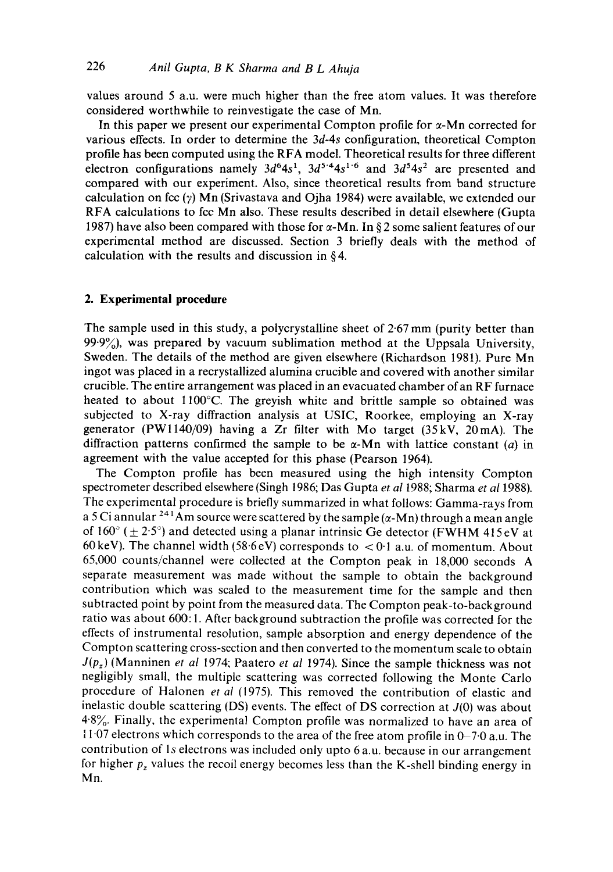values around 5 a.u. were much higher than the free atom values. It was therefore considered worthwhile to reinvestigate the case of Mn.

In this paper we present our experimental Compton profile for  $\alpha$ -Mn corrected for various effects. In order to determine the *3d-4s* configuration, theoretical Compton profile has been computed using the RFA model. Theoretical results for three different electron configurations namely  $3d^64s^1$ ,  $3d^{5.4}4s^{1.6}$  and  $3d^54s^2$  are presented and compared with our experiment. Also, since theoretical results from band structure calculation on fcc  $(y)$  Mn (Srivastava and Ojha 1984) were available, we extended our RFA calculations to fcc Mn also. These results described in detail elsewhere (Gupta 1987) have also been compared with those for  $\alpha$ -Mn. In § 2 some salient features of our experimental method are discussed. Section 3 briefly deals with the method of calculation with the results and discussion in  $§$ 4.

## **2. Experimental procedure**

The sample used in this study, a polycrystalline sheet of 2.67 mm (purity better than  $99.9\%$ , was prepared by vacuum sublimation method at the Uppsala University, Sweden. The details of the method are given elsewhere (Richardson 1981). Pure Mn ingot was placed in a recrystallized alumina crucible and covered with another similar crucible. The entire arrangement was placed in an evacuated chamber of an RF furnace heated to about 1100°C. The greyish white and brittle sample so obtained was subjected to X-ray diffraction analysis at USIC, Roorkee, employing an X-ray generator (PWl140/09) having a Zr filter with Mo target (35kV, 20mA). The diffraction patterns confirmed the sample to be  $\alpha$ -Mn with lattice constant (a) in agreement with the value accepted for this phase (Pearson 1964).

The Compton profile has been measured using the high intensity Compton spectrometer described elsewhere (Singh 1986; Das Gupta *et al* 1988; Sharma *et al* 1988). The experimental procedure is briefly summarized in what follows: Gamma-rays from a 5 Ci annular <sup>241</sup>Am source were scattered by the sample  $(\alpha-Mn)$  through a mean angle of  $160^\circ$  ( $\pm$  2.5°) and detected using a planar intrinsic Ge detector (FWHM 415eV at 60 keV). The channel width (58.6 eV) corresponds to  $\lt 0.1$  a.u. of momentum. About 65,000 counts/channel were collected at the Compton peak in 18,000 seconds A separate measurement was made without the sample to obtain the background contribution which was scaled to the measurement time for the sample and then subtracted point by point from the measured data. The Compton peak-to-background ratio was about 600: 1. After background subtraction the profile was corrected for the effects of instrumental resolution, sample absorption and energy dependence of the Compton scattering cross-section and then converted to the momentum scale to obtain *J(Pz)* (Manninen *et al* 1974; Paatero *et al* 1974). Since the sample thickness was not negligibly small, the multiple scattering was corrected following the Monte Carlo procedure of Halonen *et al* (1975). This removed the contribution of elastic and inelastic double scattering (DS) events. The effect of DS correction at  $J(0)$  was about 4.8%. Finally, the experimental Compton profile was normalized to have an area of 11.07 electrons which corresponds to the area of the free atom profile in  $0-7.0$  a.u. The contribution of ls electrons was included only upto 6 a.u. because in our arrangement for higher  $p<sub>z</sub>$  values the recoil energy becomes less than the K-shell binding energy in Mn.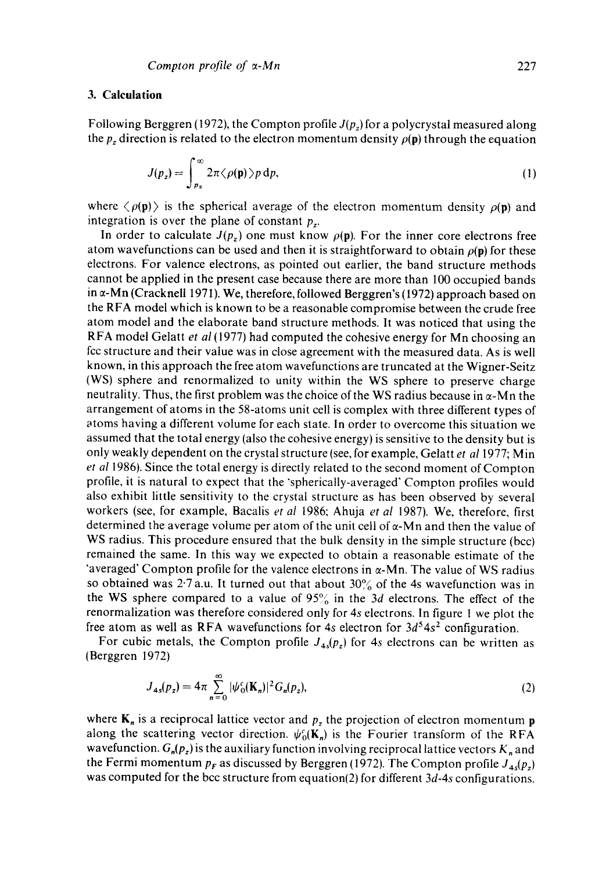# **3. Calculation**

Following Berggren (1972), the Compton profile  $J(p_z)$  for a polycrystal measured along the  $p_z$  direction is related to the electron momentum density  $\rho(\mathbf{p})$  through the equation

$$
J(p_z) = \int_{p_z}^{\infty} 2\pi \langle \rho(\mathbf{p}) \rangle p \, \mathrm{d}p,\tag{1}
$$

where  $\langle \rho(\mathbf{p}) \rangle$  is the spherical average of the electron momentum density  $\rho(\mathbf{p})$  and integration is over the plane of constant  $p_z$ .

In order to calculate  $J(p_z)$  one must know  $\rho(\mathbf{p})$ . For the inner core electrons free atom wavefunctions can be used and then it is straightforward to obtain  $\rho(\mathbf{p})$  for these electrons. For valence electrons, as pointed out earlier, the band structure methods cannot be applied in the present case because there are more than 100 occupied bands in  $\alpha$ -Mn (Cracknell 1971). We, therefore, followed Berggren's (1972) approach based on the RFA model which is known to be a reasonable compromise between the crude free atom model and the elaborate band structure methods. It was noticed that using the R FA model Gelatt *et al* (1977) had computed the cohesive energy for Mn choosing an fcc structure and their value was in close agreement with the measured data. As is well known, in this approach the free atom wavefunctions are truncated at the Wigner-Seitz (WS) sphere and renormalized to unity within the WS sphere to preserve charge neutrality. Thus, the first problem was the choice of the WS radius because in  $\alpha$ -Mn the arrangement of atoms in the 58-atoms unit cell is complex with three different types of atoms having a different volume for each state. In order to overcome this situation we assumed that the total energy (also the cohesive energy) is sensitive to the density but is only weakly dependent on the crystal structure (see, for example, Gelatt *et a11977;* Min *et a11986).* Since the total energy is directly related to the second moment of Compton profile, it is natural to expect that the "spherically-averaged' Compton profiles would also exhibit little sensitivity to the crystal structure as has been observed by several workers (see, for example, Bacalis *et al* 1986, Ahuja *et al* 1987). We, therefore, first determined the average volume per atom of the unit cell of  $\alpha$ -Mn and then the value of WS radius. This procedure ensured that the bulk density in the simple structure (bcc) remained the same. In this way we expected to obtain a reasonable estimate of the 'averaged' Compton profile for the valence electrons in  $\alpha$ -Mn. The value of WS radius so obtained was  $2.7$  a.u. It turned out that about  $30\%$  of the 4s wavefunction was in the WS sphere compared to a value of  $95\%$  in the 3d electrons. The effect of the renormalization was therefore considered only for 4s electrons. In figure 1 we plot the free atom as well as RFA wavefunctions for 4s electron for  $3d^54s^2$  configuration.

For cubic metals, the Compton profile  $J_{4s}(p_z)$  for 4s electrons can be written as (Berggren 1972)

$$
J_{4s}(p_z) = 4\pi \sum_{n=0}^{\infty} |\psi_0(\mathbf{K}_n)|^2 G_n(p_z),
$$
 (2)

where  $K_n$  is a reciprocal lattice vector and  $p_z$  the projection of electron momentum **p** along the scattering vector direction.  $\psi_0(\mathbf{K}_n)$  is the Fourier transform of the RFA wavefunction.  $G_n(p_z)$  is the auxiliary function involving reciprocal lattice vectors  $K_n$  and the Fermi momentum  $p_F$  as discussed by Berggren (1972). The Compton profile  $J_{4s}(p_z)$ was computed for the bcc structure from equation(2) for different *3d-4s* configurations.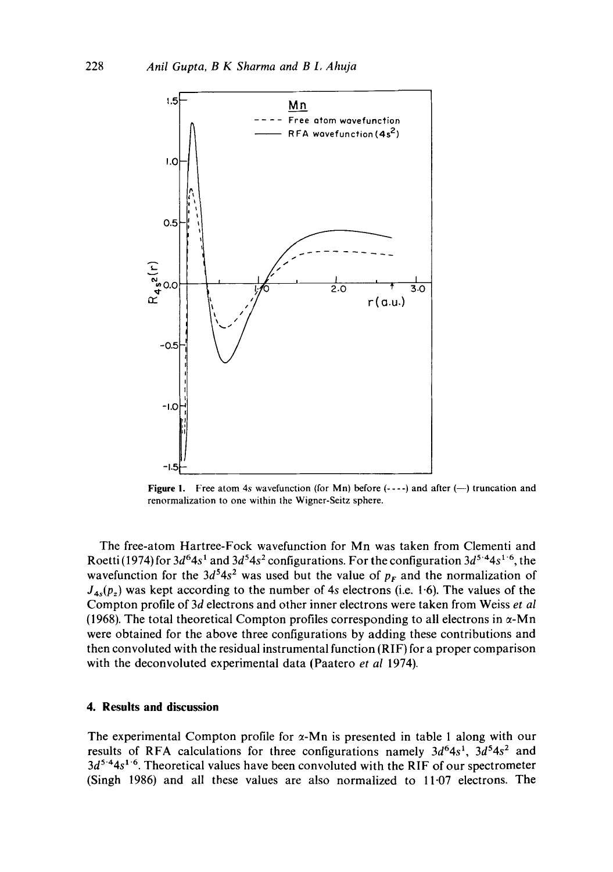

**Figure 1.** Free atom 4s wavefunction (for Mn) before  $(-,-)$  and after  $(-)$  truncation and renormalization to one within the Wigner-Seitz sphere.

The free-atom Hartree-Fock wavefunction for Mn was taken from Clementi and Roetti (1974) for  $3d^64s^1$  and  $3d^54s^2$  configurations. For the configuration  $3d^5$ <sup>4</sup>4s<sup>1-6</sup>, the wavefunction for the  $3d^54s^2$  was used but the value of  $p_F$  and the normalization of  $J_{4s}(p_z)$  was kept according to the number of 4s electrons (i.e. 1.6). The values of the Compton profile of 3d electrons and other inner electrons were taken from Weiss *et al*  (1968). The total theoretical Compton profiles corresponding to all electrons in  $\alpha$ -Mn were obtained for the above three configurations by adding these contributions and then convoluted with the residual instrumental function (RIF) for a proper comparison with the deconvoluted experimental data (Paatero *et al* 1974).

### **4. Results and discussion**

The experimental Compton profile for  $\alpha$ -Mn is presented in table 1 along with our results of RFA calculations for three configurations namely  $3d^{6}4s^{1}$ ,  $3d^{5}4s^{2}$  and  $3d^{5.4}4s^{1.6}$ . Theoretical values have been convoluted with the RIF of our spectrometer (Singh 1986) and all these values are also normalized to 11.07 electrons. The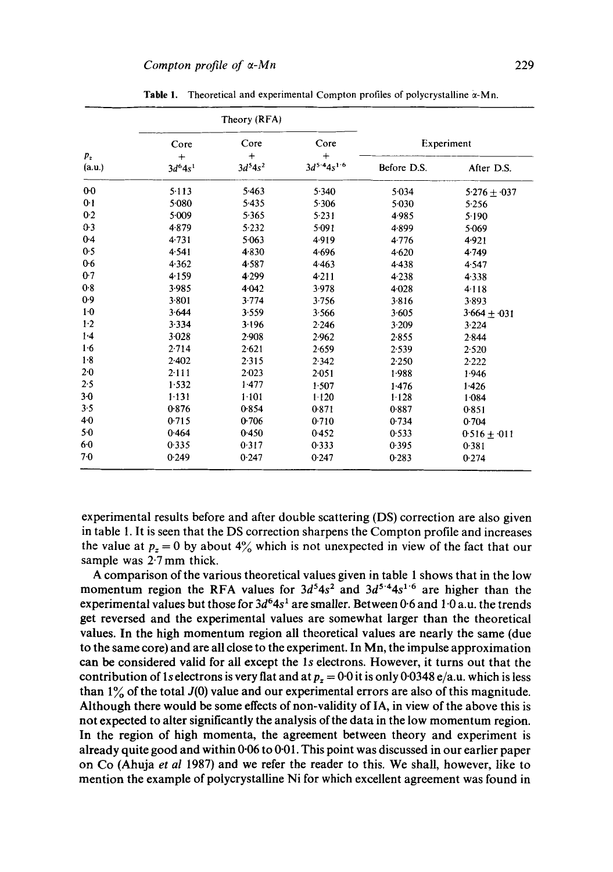| $p_z$<br>(a.u.) | Theory (RFA)                  |                               |                                      |             |                   |
|-----------------|-------------------------------|-------------------------------|--------------------------------------|-------------|-------------------|
|                 | Core<br>$+$<br>$3d^{6}4s^{1}$ | Core<br>$+$<br>$3d^{5}4s^{2}$ | Core<br>$^{+}$<br>$3d^{5.4}4s^{1.6}$ | Experiment  |                   |
|                 |                               |                               |                                      | Before D.S. | After D.S.        |
| $0-0$           | 5.113                         | 5.463                         | 5.340                                | 5.034       | $5.276 \pm 0.037$ |
| 0 <sub>1</sub>  | 5.080                         | 5.435                         | 5.306                                | 5.030       | 5.256             |
| 0.2             | $5-009$                       | 5.365                         | 5.231                                | 4.985       | 5.190             |
| $0-3$           | 4.879                         | 5.232                         | 5.091                                | 4.899       | 5.069             |
| $0-4$           | 4.731                         | 5.063                         | 4.919                                | 4.776       | 4.921             |
| 0.5             | 4.541                         | 4.830                         | 4.696                                | 4.620       | 4.749             |
| 0.6             | 4.362                         | 4.587                         | 4.463                                | 4.438       | 4.547             |
| 0.7             | 4.159                         | 4.299                         | 4.211                                | 4.238       | 4.338             |
| 0.8             | 3.985                         | 4.042                         | 3.978                                | 4028        | 4.118             |
| 0.9             | 3.801                         | 3.774                         | 3.756                                | 3.816       | 3.893             |
| 1 <sub>0</sub>  | 3.644                         | 3.559                         | 3.566                                | 3.605       | $3.664 \pm 0.031$ |
| $1-2$           | 3.334                         | 3.196                         | 2.246                                | 3.209       | 3.224             |
| 1.4             | $3 - 028$                     | 2.908                         | 2.962                                | 2.855       | 2.844             |
| 1.6             | 2.714                         | 2.621                         | 2.659                                | 2.539       | 2.520             |
| 1.8             | 2.402                         | 2.315                         | 2.342                                | 2.250       | 2.222             |
| $2-0$           | 2.111                         | 2.023                         | 2.051                                | 1.988       | 1.946             |
| 2.5             | 1.532                         | 1.477                         | 1.507                                | 1.476       | 1.426             |
| $3-0$           | 1.131                         | 1.101                         | 1.120                                | 1.128       | 1.084             |
| 3.5             | 0.876                         | 0.854                         | 0.871                                | 0.887       | 0.851             |
| 4.0             | 0.715                         | 0.706                         | 0.710                                | 0.734       | 0.704             |
| $5-0$           | 0.464                         | 0.450                         | 0.452                                | 0.533       | $0.516 + 0.011$   |
| 6.0             | 0.335                         | 0.317                         | 0.333                                | 0.395       | 0.381             |
| 70              | 0.249                         | 0.247                         | 0.247                                | 0.283       | 0.274             |

Table 1. Theoretical and experimental Compton profiles of polycrystalline  $\alpha$ -Mn.

**experimental results before and after double scattering (DS) correction are also given in table 1. It is seen that the DS correction sharpens the Compton profile and increases**  the value at  $p_z = 0$  by about  $4\%$  which is not unexpected in view of the fact that our **sample was 2-7 mm thick.** 

**A comparison of the various theoretical values given in table 1 shows that in the low**  momentum region the RFA values for  $3d^54s^2$  and  $3d^5*4s^1$ <sup>6</sup> are higher than the experimental values but those for  $3d^6 4s^1$  are smaller. Between 0.6 and  $1.0 a.u.$  the trends **get reversed and the experimental values are somewhat larger than the theoretical values. In the high momentum region all theoretical values are nearly the same (due to the same core) and are all close to the experiment. In Mn, the impulse approximation can be considered valid for all except the ls electrons. However, it turns out that the**  contribution of 1s electrons is very flat and at  $p_z = 0.0$  it is only 0.0348 e/a.u. which is less than  $1\%$  of the total  $J(0)$  value and our experimental errors are also of this magnitude. **Although there would be some effects of non-validity of IA, in view of the above this is not expected to alter significantly the analysis of the data in the low momentum region. In the region of high momenta, the agreement between theory and experiment is already quite good and within 0.06 to 0-01. This point was discussed in our earlier paper on Co (Ahuja** *et al* **1987) and we refer the reader to this. We shall, however, like to mention the example of polycrystalline Ni for which excellent agreement was found in**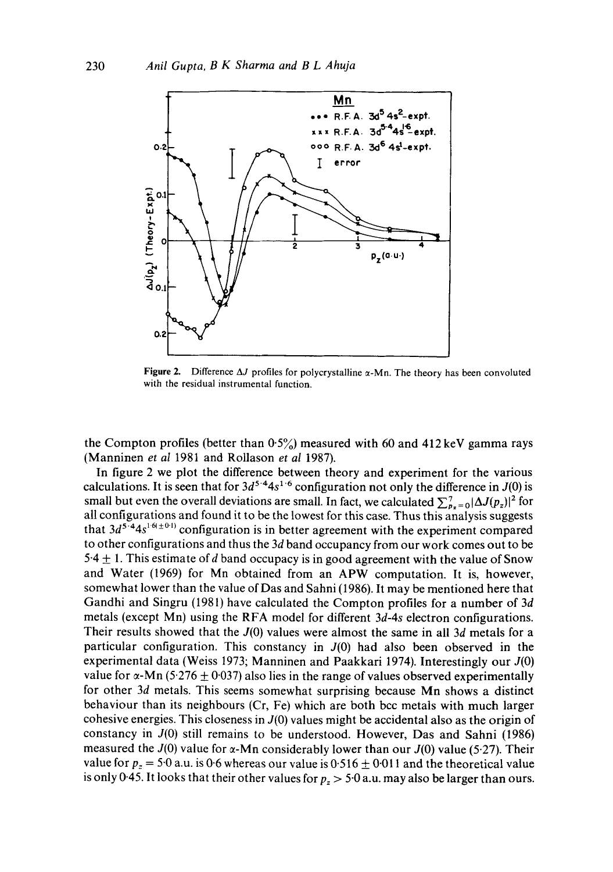

Figure 2. Difference  $\Delta J$  profiles for polycrystalline  $\alpha$ -Mn. The theory has been convoluted with the residual instrumental function.

the Compton profiles (better than  $0.5\%$ ) measured with 60 and 412 keV gamma rays (Manninen *et al* 1981 and Rollason *et al* I987).

In figure 2 we plot the difference between theory and experiment for the various calculations. It is seen that for  $3d^{5.4}4s^{1.6}$  configuration not only the difference in  $J(0)$  is small but even the overall deviations are small. In fact, we calculated  $\sum_{p_x=0}^{7} |\Delta J(p_x)|^2$  for all configurations and found it to be the lowest for this case. Thus this analysis suggests that  $3d^{5.4}4s^{1.6(\pm 0.1)}$  configuration is in better agreement with the experiment compared to other configurations and thus the 3d band occupancy from our work comes out to be 5.4  $\pm$  1. This estimate of d band occupacy is in good agreement with the value of Snow and Water (1969) for Mn obtained from an APW computation. It is, however, somewhat lower than the value of Das and Sahni (1986). It may be mentioned here that Gandhi and Singru (1981) have calculated the Compton profiles for a number of 3d metals (except Mn) using the RFA model for different *3d-4s* electron configurations. Their results showed that the J(0) values were almost the same in all 3d metals for a particular configuration. This constancy in  $J(0)$  had also been observed in the experimental data (Weiss 1973; Manninen and Paakkari 1974). Interestingly our J(0) value for  $\alpha$ -Mn (5.276  $\pm$  0.037) also lies in the range of values observed experimentally for other 3d metals. This seems somewhat surprising because Mn shows a distinct behaviour than its neighbours (Cr, Fe) which are both bcc metals with much larger cohesive energies. This closeness in  $J(0)$  values might be accidental also as the origin of constancy in J(0) still remains to be understood. However, Das and Sahni (1986) measured the  $J(0)$  value for  $\alpha$ -Mn considerably lower than our  $J(0)$  value (5.27). Their value for  $p_z = 5.0$  a.u. is 0.6 whereas our value is 0.516  $\pm$  0.011 and the theoretical value is only 0-45. It looks that their other values for  $p_z > 5.0$  a.u. may also be larger than ours.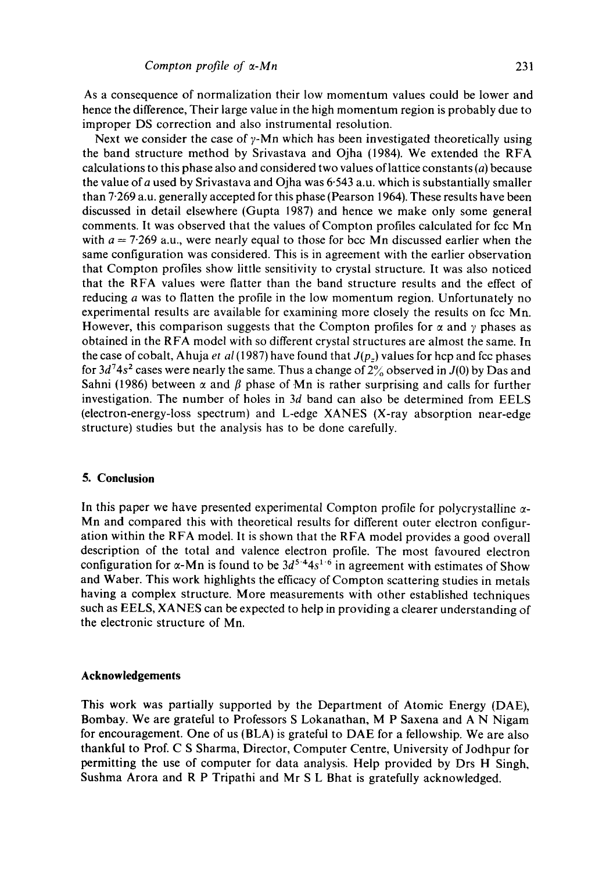As a consequence of normalization their low momentum values could be lower and hence the difference, Their large value in the high momentum region is probably due to improper DS correction and also instrumental resolution.

Next we consider the case of  $\gamma$ -Mn which has been investigated theoretically using the band structure method by Srivastava and Ojha (1984). We extended the RFA calculations to this phase also and considered two values of lattice constants ( $a$ ) because the value of a used by Srivastava and Ojha was  $6.543$  a.u. which is substantially smaller than 7.269 a.u. generally accepted for this phase (Pearson 1964). These results have been discussed in detail elsewhere (Gupta 1987) and hence we make only some general comments. It was observed that the values of Compton profiles calculated for fcc Mn with  $a = 7.269$  a.u., were nearly equal to those for bcc Mn discussed earlier when the same configuration was considered. This is in agreement with the earlier observation that Compton profiles show little sensitivity to crystal structure. It was also noticed that the RFA values were flatter than the band structure results and the effect of reducing a was to flatten the profile in the low momentum region. Unfortunately no experimental results are available for examining more closely the results on fcc Mn. However, this comparison suggests that the Compton profiles for  $\alpha$  and  $\gamma$  phases as obtained in the RFA model with so different crystal structures are almost the same. In the case of cobalt, Ahuja *et al* (1987) have found that  $J(p_z)$  values for hcp and fcc phases for  $3d^7$ 4s<sup>2</sup> cases were nearly the same. Thus a change of  $2\%$  observed in J(0) by Das and Sahni (1986) between  $\alpha$  and  $\beta$  phase of Mn is rather surprising and calls for further investigation. The number of holes in 3d band can also be determined from EELS (electron-energy-loss spectrum) and L-edge XANES (X-ray absorption near-edge structure) studies but the analysis has to be done carefully.

## **5. Conclusion**

In this paper we have presented experimental Compton profile for polycrystalline  $\alpha$ -Mn and compared this with theoretical results for different outer electron configuration within the RFA model. It is shown that the RFA model provides a good overall description of the total and valence electron profile. The most favoured electron configuration for  $\alpha$ -Mn is found to be  $3d^{5.4}4s^{1.6}$  in agreement with estimates of Show and Waber. This work highlights the efficacy of Compton scattering studies in metals having a complex structure. More measurements with other established techniques such as EELS, XANES can be expected to help in providing a clearer understanding of the electronic structure of Mn.

#### **Acknowledgements**

This work was partially supported by the Department of Atomic Energy (DAE), Bombay. We are grateful to Professors S Lokanathan, M P Saxena and A N Nigam for encouragement. One of us (BLA) is grateful to DAE for a fellowship. We are also thankful to Prof. C S Sharma, Director, Computer Centre, University of Jodhpur for permitting the use of computer for data analysis. Help provided by Drs H Singh, Sushma Arora and R P Tripathi and Mr S L Bhat is gratefully acknowledged.